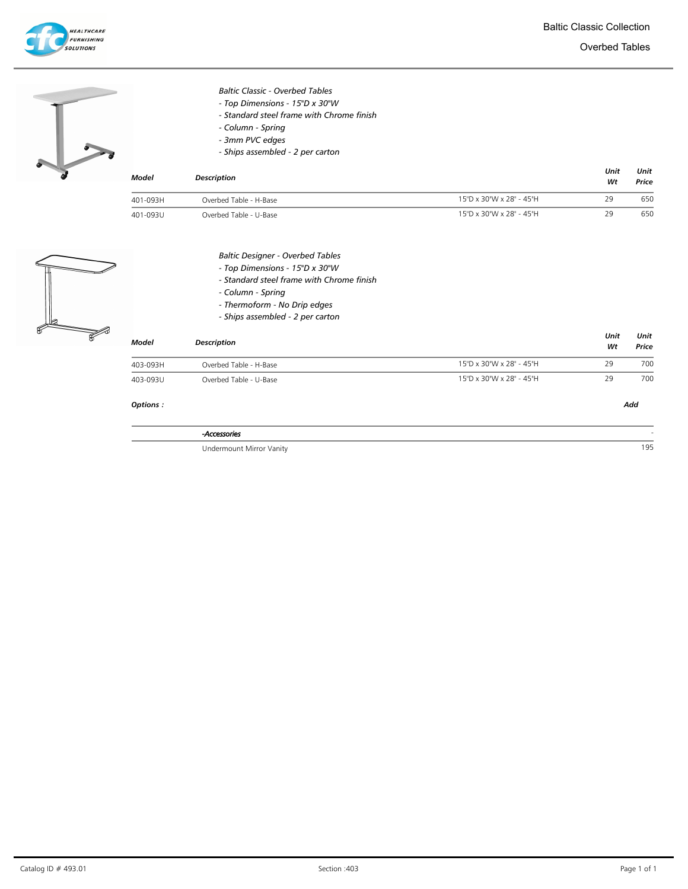

|              | <b>Baltic Classic - Overbed Tables</b>    |                          |            |               |
|--------------|-------------------------------------------|--------------------------|------------|---------------|
|              | - Top Dimensions - 15"D x 30"W            |                          |            |               |
|              | - Standard steel frame with Chrome finish |                          |            |               |
|              | - Column - Spring                         |                          |            |               |
|              | - 3mm PVC edges                           |                          |            |               |
|              | - Ships assembled - 2 per carton          |                          |            |               |
| <b>Model</b> | <b>Description</b>                        |                          | Unit<br>Wt | Unit<br>Price |
| 401-093H     | Overbed Table - H-Base                    | 15"D x 30"W x 28" - 45"H | 29         | 650           |
| 401-093U     | Overbed Table - U-Base                    | 15"D x 30"W x 28" - 45"H | 29         | 650           |
|              | <b>Baltic Designer - Overbed Tables</b>   |                          |            |               |
|              | - Top Dimensions - 15"D x 30"W            |                          |            |               |
|              | - Standard steel frame with Chrome finish |                          |            |               |
|              | - Column - Spring                         |                          |            |               |
|              | - Thermoform - No Drip edges              |                          |            |               |
|              | - Ships assembled - 2 per carton          |                          |            |               |
|              |                                           |                          | Unit       | Unit          |
| <b>Model</b> | <b>Description</b>                        |                          | Wt         | Price         |
| 403-093H     | Overbed Table - H-Base                    | 15"D x 30"W x 28" - 45"H | 29         | 700           |
| 403-093U     | Overbed Table - U-Base                    | 15"D x 30"W x 28" - 45"H | 29         | 700           |
| Options:     |                                           |                          |            | Add           |
|              | -Accessories                              |                          |            |               |
|              | Undermount Mirror Vanity                  |                          |            | 195           |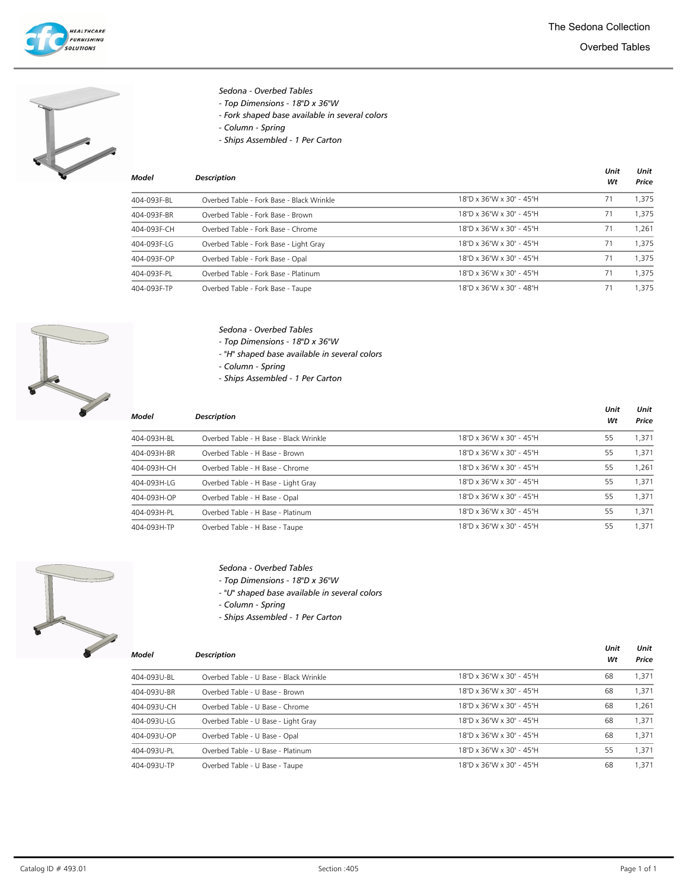



## Sedona - Overbed Tables

- Top Dimensions 18"D x 36"W
- Fork shaped base available in several colors
- Column Spring
- Ships Assembled 1 Per Carton

| Model       | <b>Description</b>                        |                          | Unit<br>Wt | Unit<br>Price |
|-------------|-------------------------------------------|--------------------------|------------|---------------|
| 404-093F-BL | Overbed Table - Fork Base - Black Wrinkle | 18"D x 36"W x 30" - 45"H | 71         | 1.375         |
| 404-093F-BR | Overbed Table - Fork Base - Brown         | 18"D x 36"W x 30" - 45"H | 71         | 1.375         |
| 404-093F-CH | Overbed Table - Fork Base - Chrome        | 18"D x 36"W x 30" - 45"H | 71         | 1.261         |
| 404-093F-LG | Overbed Table - Fork Base - Light Gray    | 18"D x 36"W x 30" - 45"H | 71         | 1.375         |
| 404-093F-OP | Overbed Table - Fork Base - Opal          | 18"D x 36"W x 30" - 45"H | 71         | 1.375         |
| 404-093F-PL | Overbed Table - Fork Base - Platinum      | 18"D x 36"W x 30" - 45"H | 71         | 1.375         |
| 404-093F-TP | Overbed Table - Fork Base - Taupe         | 18"D x 36"W x 30" - 48"H | 71         | 1.375         |



#### Sedona - Overbed Tables

- Top Dimensions 18"D x 36"W
- "H" shaped base available in several colors
- Column Spring
- Ships Assembled 1 Per Carton

| Model       | <b>Description</b>                     |                          | Unit<br>Wt | Unit<br>Price |
|-------------|----------------------------------------|--------------------------|------------|---------------|
| 404-093H-BL | Overbed Table - H Base - Black Wrinkle | 18"D x 36"W x 30" - 45"H | 55         | 1.371         |
| 404-093H-BR | Overbed Table - H Base - Brown         | 18"D x 36"W x 30" - 45"H | 55         | 1.371         |
| 404-093H-CH | Overbed Table - H Base - Chrome        | 18"D x 36"W x 30" - 45"H | 55         | 1.261         |
| 404-093H-LG | Overbed Table - H Base - Light Gray    | 18"D x 36"W x 30" - 45"H | 55         | 1.371         |
| 404-093H-OP | Overbed Table - H Base - Opal          | 18"D x 36"W x 30" - 45"H | 55         | 1.371         |
| 404-093H-PL | Overbed Table - H Base - Platinum      | 18"D x 36"W x 30" - 45"H | 55         | 1.371         |
| 404-093H-TP | Overbed Table - H Base - Taupe         | 18"D x 36"W x 30" - 45"H | 55         | .371          |



## Sedona - Overbed Tables

- Top Dimensions 18"D x 36"W
- "U" shaped base available in several colors
- Column Spring
- Ships Assembled 1 Per Carton

| Model       | <b>Description</b>                     |                          | Unit<br>Wt | Unit<br>Price |
|-------------|----------------------------------------|--------------------------|------------|---------------|
| 404-093U-BL | Overbed Table - U Base - Black Wrinkle | 18"D x 36"W x 30" - 45"H | 68         | 1.371         |
| 404-093U-BR | Overbed Table - U Base - Brown         | 18"D x 36"W x 30" - 45"H | 68         | 1.371         |
| 404-093U-CH | Overbed Table - U Base - Chrome        | 18"D x 36"W x 30" - 45"H | 68         | 1.261         |
| 404-093U-LG | Overbed Table - U Base - Light Gray    | 18"D x 36"W x 30" - 45"H | 68         | 1.371         |
| 404-093U-OP | Overbed Table - U Base - Opal          | 18"D x 36"W x 30" - 45"H | 68         | 1.371         |
| 404-093U-PL | Overbed Table - U Base - Platinum      | 18"D x 36"W x 30" - 45"H | 55         | 1.371         |
| 404-093U-TP | Overbed Table - U Base - Taupe         | 18"D x 36"W x 30" - 45"H | 68         | 1.371         |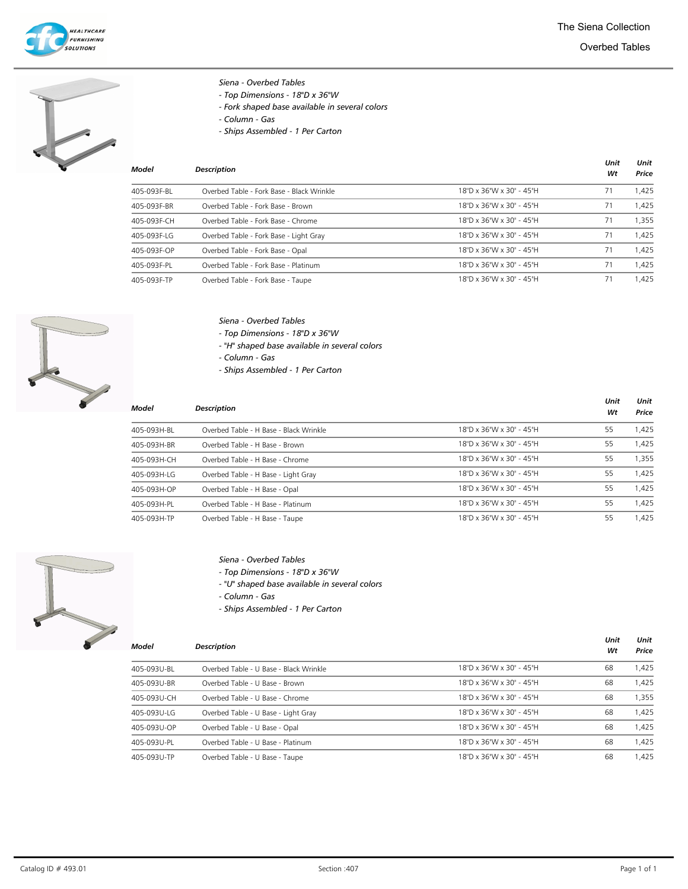



## Siena - Overbed Tables

- Top Dimensions - 18"D x 36"W

- Fork shaped base available in several colors
- Column Gas
- Ships Assembled 1 Per Carton

| Model       | <b>Description</b>                        |                          | Unit<br>Wt | Unit<br>Price |
|-------------|-------------------------------------------|--------------------------|------------|---------------|
| 405-093F-BL | Overbed Table - Fork Base - Black Wrinkle | 18"D x 36"W x 30" - 45"H | 71         | 1,425         |
| 405-093F-BR | Overbed Table - Fork Base - Brown         | 18"D x 36"W x 30" - 45"H | 71         | 1.425         |
| 405-093F-CH | Overbed Table - Fork Base - Chrome        | 18"D x 36"W x 30" - 45"H | 71         | 1,355         |
| 405-093F-LG | Overbed Table - Fork Base - Light Gray    | 18"D x 36"W x 30" - 45"H | 71         | 1.425         |
| 405-093F-OP | Overbed Table - Fork Base - Opal          | 18"D x 36"W x 30" - 45"H | 71         | 1.425         |
| 405-093F-PL | Overbed Table - Fork Base - Platinum      | 18"D x 36"W x 30" - 45"H | 71         | 1,425         |
| 405-093F-TP | Overbed Table - Fork Base - Taupe         | 18"D x 36"W x 30" - 45"H | 71         | 1.425         |



- Siena Overbed Tables
- Top Dimensions 18"D x 36"W
- "H" shaped base available in several colors
- Column Gas
- Ships Assembled 1 Per Carton

| <b>Model</b> | <b>Description</b>                     |                          | Unit<br>Wt | Unit<br>Price |
|--------------|----------------------------------------|--------------------------|------------|---------------|
| 405-093H-BL  | Overbed Table - H Base - Black Wrinkle | 18"D x 36"W x 30" - 45"H | 55         | 1.425         |
| 405-093H-BR  | Overbed Table - H Base - Brown         | 18"D x 36"W x 30" - 45"H | 55         | 1,425         |
| 405-093H-CH  | Overbed Table - H Base - Chrome        | 18"D x 36"W x 30" - 45"H | 55         | 1.355         |
| 405-093H-LG  | Overbed Table - H Base - Light Gray    | 18"D x 36"W x 30" - 45"H | 55         | 1,425         |
| 405-093H-OP  | Overbed Table - H Base - Opal          | 18"D x 36"W x 30" - 45"H | 55         | 1.425         |
| 405-093H-PL  | Overbed Table - H Base - Platinum      | 18"D x 36"W x 30" - 45"H | 55         | 1.425         |
| 405-093H-TP  | Overbed Table - H Base - Taupe         | 18"D x 36"W x 30" - 45"H | 55         | 1,425         |



# Siena - Overbed Tables

- Top Dimensions 18"D x 36"W
- "U" shaped base available in several colors
- Column Gas
- Ships Assembled 1 Per Carton

| Model       | <b>Description</b>                     |                          | Unit<br>Wt | Unit<br>Price |
|-------------|----------------------------------------|--------------------------|------------|---------------|
| 405-093U-BL | Overbed Table - U Base - Black Wrinkle | 18"D x 36"W x 30" - 45"H | 68         | 1,425         |
| 405-093U-BR | Overbed Table - U Base - Brown         | 18"D x 36"W x 30" - 45"H | 68         | 1,425         |
| 405-093U-CH | Overbed Table - U Base - Chrome        | 18"D x 36"W x 30" - 45"H | 68         | 1.355         |
| 405-093U-LG | Overbed Table - U Base - Light Gray    | 18"D x 36"W x 30" - 45"H | 68         | 1,425         |
| 405-093U-OP | Overbed Table - U Base - Opal          | 18"D x 36"W x 30" - 45"H | 68         | 1,425         |
| 405-093U-PL | Overbed Table - U Base - Platinum      | 18"D x 36"W x 30" - 45"H | 68         | 1.425         |
| 405-093U-TP | Overbed Table - U Base - Taupe         | 18"D x 36"W x 30" - 45"H | 68         | 1.425         |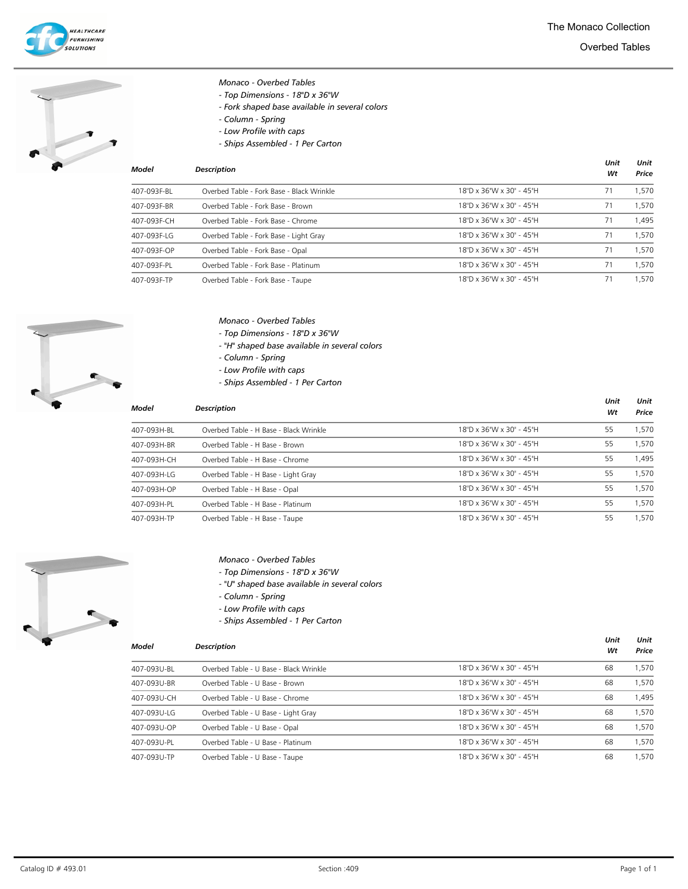



#### Monaco - Overbed Tables

- Top Dimensions 18"D x 36"W
- Fork shaped base available in several colors
- Column Spring
- Low Profile with caps
- Ships Assembled 1 Per Carton

| Model       | <b>Description</b>                        |                          | Unit<br>Wt | Unit<br>Price |
|-------------|-------------------------------------------|--------------------------|------------|---------------|
| 407-093F-BL | Overbed Table - Fork Base - Black Wrinkle | 18"D x 36"W x 30" - 45"H | 71         | 1.570         |
| 407-093F-BR | Overbed Table - Fork Base - Brown         | 18"D x 36"W x 30" - 45"H | 71         | 1.570         |
| 407-093F-CH | Overbed Table - Fork Base - Chrome        | 18"D x 36"W x 30" - 45"H | 71         | 1.495         |
| 407-093F-LG | Overbed Table - Fork Base - Light Gray    | 18"D x 36"W x 30" - 45"H | 71         | 1.570         |
| 407-093F-OP | Overbed Table - Fork Base - Opal          | 18"D x 36"W x 30" - 45"H | 71         | 1.570         |
| 407-093F-PL | Overbed Table - Fork Base - Platinum      | 18"D x 36"W x 30" - 45"H | 71         | 1.570         |
| 407-093F-TP | Overbed Table - Fork Base - Taupe         | 18"D x 36"W x 30" - 45"H | 71         | 1.570         |



### Monaco - Overbed Tables

- Top Dimensions 18"D x 36"W
- "H" shaped base available in several colors
- Column Spring
- Low Profile with caps
- Ships Assembled 1 Per Carton

| Model       | <b>Description</b>                     |                          | Unit<br>Wt | Unit<br>Price |
|-------------|----------------------------------------|--------------------------|------------|---------------|
| 407-093H-BL | Overbed Table - H Base - Black Wrinkle | 18"D x 36"W x 30" - 45"H | 55         | 1,570         |
| 407-093H-BR | Overbed Table - H Base - Brown         | 18"D x 36"W x 30" - 45"H | 55         | 1,570         |
| 407-093H-CH | Overbed Table - H Base - Chrome        | 18"D x 36"W x 30" - 45"H | 55         | 1.495         |
| 407-093H-LG | Overbed Table - H Base - Light Gray    | 18"D x 36"W x 30" - 45"H | 55         | 1,570         |
| 407-093H-OP | Overbed Table - H Base - Opal          | 18"D x 36"W x 30" - 45"H | 55         | 1,570         |
| 407-093H-PL | Overbed Table - H Base - Platinum      | 18"D x 36"W x 30" - 45"H | 55         | 1,570         |
| 407-093H-TP | Overbed Table - H Base - Taupe         | 18"D x 36"W x 30" - 45"H | 55         | 1.570         |



#### Monaco - Overbed Tables

- Top Dimensions 18"D x 36"W
- "U" shaped base available in several colors
- Column Spring
- Low Profile with caps
- Ships Assembled 1 Per Carton

| Model       | <b>Description</b>                     |                          | Wt | Price |
|-------------|----------------------------------------|--------------------------|----|-------|
| 407-093U-BL | Overbed Table - U Base - Black Wrinkle | 18"D x 36"W x 30" - 45"H | 68 | 1.570 |
| 407-093U-BR | Overbed Table - U Base - Brown         | 18"D x 36"W x 30" - 45"H | 68 | 1,570 |
| 407-093U-CH | Overbed Table - U Base - Chrome        | 18"D x 36"W x 30" - 45"H | 68 | 1,495 |
| 407-093U-LG | Overbed Table - U Base - Light Gray    | 18"D x 36"W x 30" - 45"H | 68 | 1.570 |
| 407-093U-OP | Overbed Table - U Base - Opal          | 18"D x 36"W x 30" - 45"H | 68 | 1,570 |
| 407-093U-PL | Overbed Table - U Base - Platinum      | 18"D x 36"W x 30" - 45"H | 68 | 1.570 |
| 407-093U-TP | Overbed Table - U Base - Taupe         | 18"D x 36"W x 30" - 45"H | 68 | 1,570 |

Unit

Unit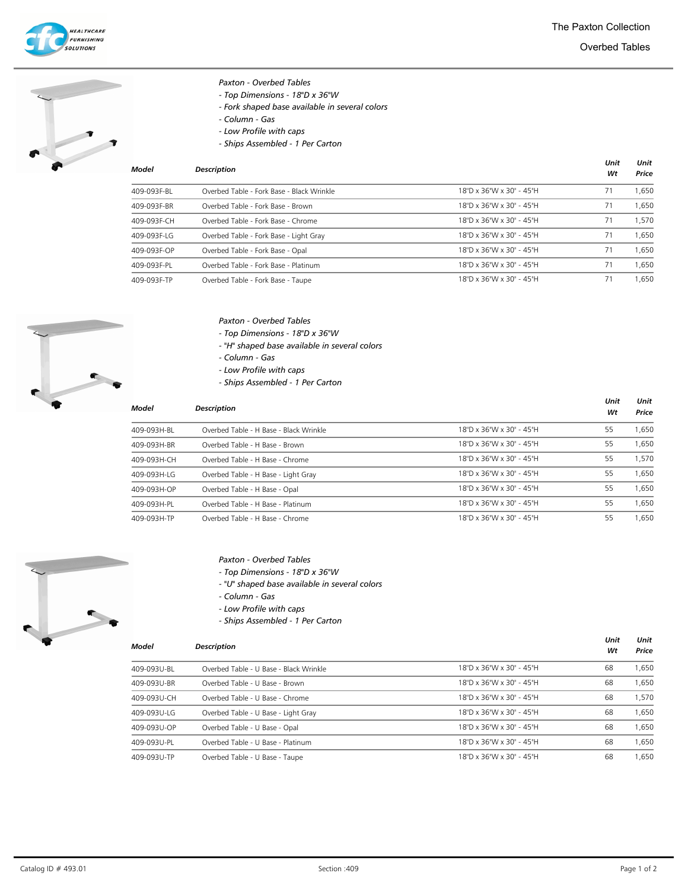



### Paxton - Overbed Tables

- Top Dimensions 18"D x 36"W
- Fork shaped base available in several colors
- Column Gas
- Low Profile with caps
- Ships Assembled 1 Per Carton

| Model       | <b>Description</b>                        |                          | Unit<br>Wt | Unit<br>Price |
|-------------|-------------------------------------------|--------------------------|------------|---------------|
| 409-093F-BL | Overbed Table - Fork Base - Black Wrinkle | 18"D x 36"W x 30" - 45"H | 71         | 1.650         |
| 409-093F-BR | Overbed Table - Fork Base - Brown         | 18"D x 36"W x 30" - 45"H | 71         | 1.650         |
| 409-093F-CH | Overbed Table - Fork Base - Chrome        | 18"D x 36"W x 30" - 45"H | 71         | 1.570         |
| 409-093F-LG | Overbed Table - Fork Base - Light Gray    | 18"D x 36"W x 30" - 45"H | 71         | 1.650         |
| 409-093F-OP | Overbed Table - Fork Base - Opal          | 18"D x 36"W x 30" - 45"H | 71         | 1.650         |
| 409-093F-PL | Overbed Table - Fork Base - Platinum      | 18"D x 36"W x 30" - 45"H | 71         | 1.650         |
| 409-093F-TP | Overbed Table - Fork Base - Taupe         | 18"D x 36"W x 30" - 45"H | 71         | 1.650         |



### Paxton - Overbed Tables

- Top Dimensions 18"D x 36"W
- "H" shaped base available in several colors
- Column Gas
- Low Profile with caps
- Ships Assembled 1 Per Carton

| Model       | <b>Description</b>                     |                          | Unit<br>Wt | Unit<br>Price |
|-------------|----------------------------------------|--------------------------|------------|---------------|
| 409-093H-BL | Overbed Table - H Base - Black Wrinkle | 18"D x 36"W x 30" - 45"H | 55         | 1.650         |
| 409-093H-BR | Overbed Table - H Base - Brown         | 18"D x 36"W x 30" - 45"H | 55         | 1.650         |
| 409-093H-CH | Overbed Table - H Base - Chrome        | 18"D x 36"W x 30" - 45"H | 55         | 1,570         |
| 409-093H-LG | Overbed Table - H Base - Light Gray    | 18"D x 36"W x 30" - 45"H | 55         | 1.650         |
| 409-093H-OP | Overbed Table - H Base - Opal          | 18"D x 36"W x 30" - 45"H | 55         | 1.650         |
| 409-093H-PL | Overbed Table - H Base - Platinum      | 18"D x 36"W x 30" - 45"H | 55         | 1.650         |
| 409-093H-TP | Overbed Table - H Base - Chrome        | 18"D x 36"W x 30" - 45"H | 55         | 1.650         |



## Paxton - Overbed Tables

- Top Dimensions 18"D x 36"W
- "U" shaped base available in several colors
- Column Gas
- Low Profile with caps
- Ships Assembled 1 Per Carton

| Model |
|-------|
|-------|

| Model       | <b>Description</b>                     |                          | Wt | Price |
|-------------|----------------------------------------|--------------------------|----|-------|
| 409-093U-BL | Overbed Table - U Base - Black Wrinkle | 18"D x 36"W x 30" - 45"H | 68 | 1,650 |
| 409-093U-BR | Overbed Table - U Base - Brown         | 18"D x 36"W x 30" - 45"H | 68 | 1,650 |
| 409-093U-CH | Overbed Table - U Base - Chrome        | 18"D x 36"W x 30" - 45"H | 68 | 1.570 |
| 409-093U-LG | Overbed Table - U Base - Light Gray    | 18"D x 36"W x 30" - 45"H | 68 | 1.650 |
| 409-093U-OP | Overbed Table - U Base - Opal          | 18"D x 36"W x 30" - 45"H | 68 | 1,650 |
| 409-093U-PL | Overbed Table - U Base - Platinum      | 18"D x 36"W x 30" - 45"H | 68 | 1.650 |
| 409-093U-TP | Overbed Table - U Base - Taupe         | 18"D x 36"W x 30" - 45"H | 68 | 1.650 |

Unit

Unit